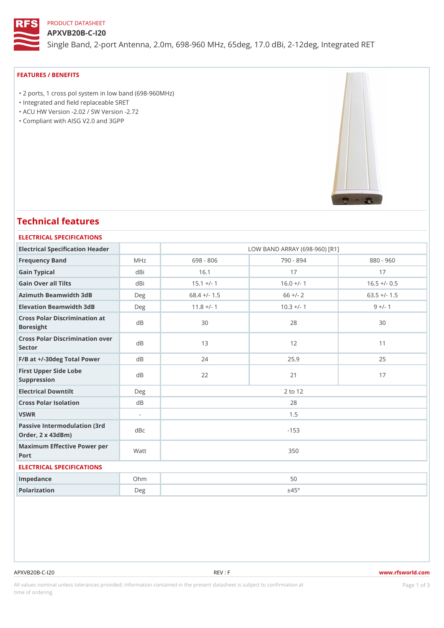# PRODUCT DATASHEET

#### APXVB20B-C-I20

Single Band, 2-port Antenna, 2.0m, 698-960 MHz, 65deg, 17.0 dBi, 2-1

#### FEATURES / BENEFITS

 "2 ports, 1 cross pol system in low band (698-960MHz) "Integrated and field replaceable SRET "ACU HW Version -2.02 / SW Version -2.72

"Compliant with AISG V2.0 and 3GPP

# Technical features

#### ELECTRICAL SPECIFICATIONS

| Electrical Specification Header     | LOW BAND ARRAY (698-960) [R1]                                                                    |              |                |  |  |  |  |  |
|-------------------------------------|--------------------------------------------------------------------------------------------------|--------------|----------------|--|--|--|--|--|
| MHz                                 | 698 - 806                                                                                        | 790 - 894    | $880 - 960$    |  |  |  |  |  |
| dBi                                 | 16.1                                                                                             | 17           | 17             |  |  |  |  |  |
| dBi                                 | $15.1 +/- 1$                                                                                     | $16.0 +/- 1$ | $16.5 +/- 0.5$ |  |  |  |  |  |
| Azimuth Beamwidth 3dB<br>Deg        | $68.4$ +/- 1.5                                                                                   | $66 +/- 2$   | $63.5 +/- 1.5$ |  |  |  |  |  |
| Elevation Beamwidth 3dB<br>Deg      | $11.8$ +/- 1                                                                                     | $10.3 +/- 1$ | $9 +/- 1$      |  |  |  |  |  |
|                                     | 30                                                                                               | 28           | 30             |  |  |  |  |  |
| Cross Polar Discrimination over     | 13                                                                                               | 12           | 11             |  |  |  |  |  |
| $F/B$ at $+/-30$ deg Total Powerd B | 24                                                                                               | 25.9         | 25             |  |  |  |  |  |
| d B                                 | 22                                                                                               | 21           | 17             |  |  |  |  |  |
| $D$ e q                             | 2 to 12                                                                                          |              |                |  |  |  |  |  |
| d B                                 | 28                                                                                               |              |                |  |  |  |  |  |
| $\sim$                              | 1.5                                                                                              |              |                |  |  |  |  |  |
|                                     | $-153$                                                                                           |              |                |  |  |  |  |  |
|                                     | 350                                                                                              |              |                |  |  |  |  |  |
| ELECTRICAL SPECIFICATIONS           |                                                                                                  |              |                |  |  |  |  |  |
| $Oh$ m                              | 50                                                                                               |              |                |  |  |  |  |  |
| Deg                                 |                                                                                                  | ±45°         |                |  |  |  |  |  |
|                                     | Cross Polar Discrimination at<br>Passive Intermodulation (3rd dBc<br>Maximum Effective Power per |              |                |  |  |  |  |  |

APXVB20B-C-I20 REV : F www.rfsworld.com

All values nominal unless tolerances provided; information contained in the present datasheet is subject to PcaogneionIm atio time of ordering.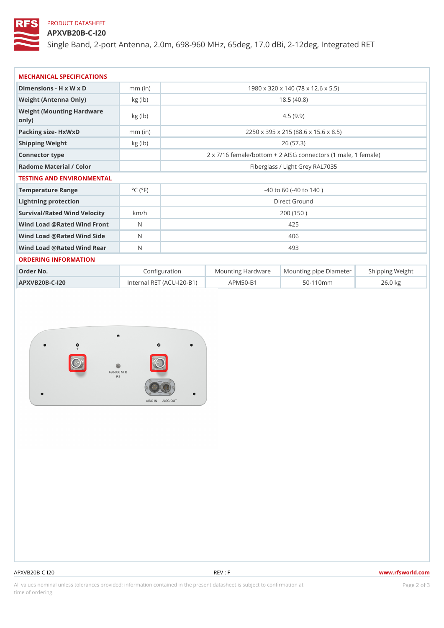# PRODUCT DATASHEET

APXVB20B-C-I20

Single Band, 2-port Antenna, 2.0m, 698-960 MHz, 65deg, 17.0 dBi, 2-1

| MECHANICAL SPECIFICATIONS                  |                             |                                                       |                                    |                |                                                      |  |
|--------------------------------------------|-----------------------------|-------------------------------------------------------|------------------------------------|----------------|------------------------------------------------------|--|
| Dimensions - H x W x D                     | $mm$ (in)                   | 1980 x 320 x 140 (78 x 12.6 x 5.5)                    |                                    |                |                                                      |  |
| Weight (Antenna Only)                      | kg (lb)                     | 18.5(40.8)                                            |                                    |                |                                                      |  |
| Weight (Mounting Hardware kg (lb)<br>only) |                             |                                                       |                                    | 4.5(9.9)       |                                                      |  |
| Packing size- HxWxD                        | $mm$ (in)                   | 2250 x 395 x 215 (88.6 x 15.6 x 8.5)                  |                                    |                |                                                      |  |
| Shipping Weight                            | kg (lb)                     | 26(57.3)                                              |                                    |                |                                                      |  |
| Connector type                             |                             | 2 x 7/16 female/bottom + 2 AISG connectors (1 male, 1 |                                    |                |                                                      |  |
| Radome Material / Color                    |                             | Fiberglass / Light Grey RAL7035                       |                                    |                |                                                      |  |
| TESTING AND ENVIRONMENTAL                  |                             |                                                       |                                    |                |                                                      |  |
| Temperature Range                          | $^{\circ}$ C ( $^{\circ}$ F | $-40$ to 60 ( $-40$ to 140)                           |                                    |                |                                                      |  |
| Lightning protection                       |                             | Direct Ground                                         |                                    |                |                                                      |  |
| Survival/Rated Wind Velocikm/h             |                             | 200 (150)                                             |                                    |                |                                                      |  |
| Wind Load @ Rated Wind Front               |                             | 425                                                   |                                    |                |                                                      |  |
| Wind Load @ Rated Wind Sidb                |                             | 406                                                   |                                    |                |                                                      |  |
| Wind Load @ Rated Wind ReaN                |                             | 493                                                   |                                    |                |                                                      |  |
| ORDERING INFORMATION                       |                             |                                                       |                                    |                |                                                      |  |
| Order No.                                  |                             | Configuration                                         |                                    |                | Mounting HardwaMeunting pipe DiameSteeirpping Weight |  |
| $APXVB20B-C-120$                           |                             |                                                       | Internal RET (ACU-120-BA1P) M50-B1 | $50 - 110$ m m | $26.0$ kg                                            |  |

#### APXVB20B-C-I20 REV : F www.rfsworld.com